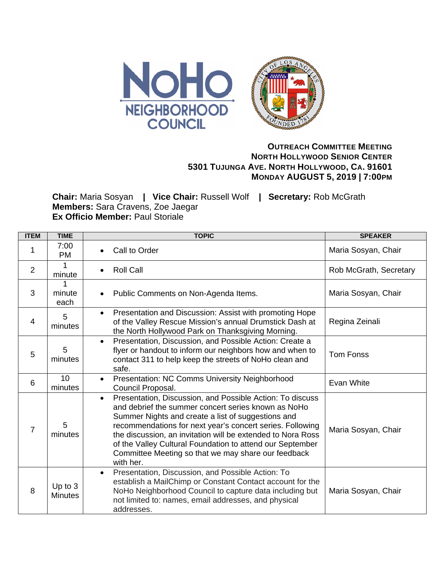

## **OUTREACH COMMITTEE MEETING NORTH HOLLYWOOD SENIOR CENTER 5301 TUJUNGA AVE. NORTH HOLLYWOOD, CA. 91601 MONDAY AUGUST 5, 2019 | 7:00PM**

**Chair:** Maria Sosyan **| Vice Chair:** Russell Wolf **| Secretary:** Rob McGrath **Members:** Sara Cravens, Zoe Jaegar **Ex Officio Member: Paul Storiale** 

| <b>ITEM</b>    | <b>TIME</b>               | <b>TOPIC</b>                                                                                                                                                                                                                                                                                                                                                                                                                                     | <b>SPEAKER</b>         |
|----------------|---------------------------|--------------------------------------------------------------------------------------------------------------------------------------------------------------------------------------------------------------------------------------------------------------------------------------------------------------------------------------------------------------------------------------------------------------------------------------------------|------------------------|
|                | 7:00<br><b>PM</b>         | Call to Order                                                                                                                                                                                                                                                                                                                                                                                                                                    | Maria Sosyan, Chair    |
| $\overline{2}$ | 1<br>minute               | <b>Roll Call</b><br>$\bullet$                                                                                                                                                                                                                                                                                                                                                                                                                    | Rob McGrath, Secretary |
| 3              | 1<br>minute<br>each       | Public Comments on Non-Agenda Items.<br>$\bullet$                                                                                                                                                                                                                                                                                                                                                                                                | Maria Sosyan, Chair    |
| 4              | 5<br>minutes              | Presentation and Discussion: Assist with promoting Hope<br>$\bullet$<br>of the Valley Rescue Mission's annual Drumstick Dash at<br>the North Hollywood Park on Thanksgiving Morning.                                                                                                                                                                                                                                                             | Regina Zeinali         |
| 5              | 5<br>minutes              | Presentation, Discussion, and Possible Action: Create a<br>$\bullet$<br>flyer or handout to inform our neighbors how and when to<br>contact 311 to help keep the streets of NoHo clean and<br>safe.                                                                                                                                                                                                                                              | <b>Tom Fonss</b>       |
| 6              | 10<br>minutes             | Presentation: NC Comms University Neighborhood<br>$\bullet$<br>Council Proposal.                                                                                                                                                                                                                                                                                                                                                                 | Evan White             |
| $\overline{7}$ | 5<br>minutes              | Presentation, Discussion, and Possible Action: To discuss<br>$\bullet$<br>and debrief the summer concert series known as NoHo<br>Summer Nights and create a list of suggestions and<br>recommendations for next year's concert series. Following<br>the discussion, an invitation will be extended to Nora Ross<br>of the Valley Cultural Foundation to attend our September<br>Committee Meeting so that we may share our feedback<br>with her. | Maria Sosyan, Chair    |
| 8              | Up to 3<br><b>Minutes</b> | Presentation, Discussion, and Possible Action: To<br>$\bullet$<br>establish a MailChimp or Constant Contact account for the<br>NoHo Neighborhood Council to capture data including but<br>not limited to: names, email addresses, and physical<br>addresses.                                                                                                                                                                                     | Maria Sosyan, Chair    |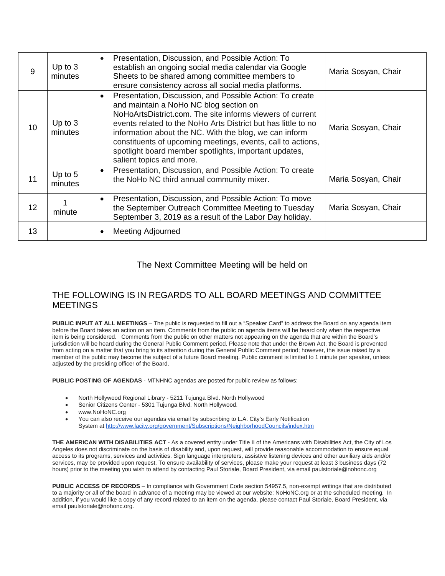| 9  | Up to $3$<br>minutes | Presentation, Discussion, and Possible Action: To<br>$\bullet$<br>establish an ongoing social media calendar via Google<br>Sheets to be shared among committee members to<br>ensure consistency across all social media platforms.                                                                                                                                                                                                                          | Maria Sosyan, Chair |
|----|----------------------|-------------------------------------------------------------------------------------------------------------------------------------------------------------------------------------------------------------------------------------------------------------------------------------------------------------------------------------------------------------------------------------------------------------------------------------------------------------|---------------------|
| 10 | Up to $3$<br>minutes | Presentation, Discussion, and Possible Action: To create<br>$\bullet$<br>and maintain a NoHo NC blog section on<br>NoHoArtsDistrict.com. The site informs viewers of current<br>events related to the NoHo Arts District but has little to no<br>information about the NC. With the blog, we can inform<br>constituents of upcoming meetings, events, call to actions,<br>spotlight board member spotlights, important updates,<br>salient topics and more. | Maria Sosyan, Chair |
| 11 | Up to $5$<br>minutes | Presentation, Discussion, and Possible Action: To create<br>the NoHo NC third annual community mixer.                                                                                                                                                                                                                                                                                                                                                       | Maria Sosyan, Chair |
| 12 | minute               | Presentation, Discussion, and Possible Action: To move<br>$\bullet$<br>the September Outreach Committee Meeting to Tuesday<br>September 3, 2019 as a result of the Labor Day holiday.                                                                                                                                                                                                                                                                       | Maria Sosyan, Chair |
| 13 |                      | Meeting Adjourned                                                                                                                                                                                                                                                                                                                                                                                                                                           |                     |

## The Next Committee Meeting will be held on

## THE FOLLOWING IS IN REGARDS TO ALL BOARD MEETINGS AND COMMITTEE MEETINGS

**PUBLIC INPUT AT ALL MEETINGS** – The public is requested to fill out a "Speaker Card" to address the Board on any agenda item before the Board takes an action on an item. Comments from the public on agenda items will be heard only when the respective item is being considered. Comments from the public on other matters not appearing on the agenda that are within the Board's jurisdiction will be heard during the General Public Comment period. Please note that under the Brown Act, the Board is prevented from acting on a matter that you bring to its attention during the General Public Comment period; however, the issue raised by a member of the public may become the subject of a future Board meeting. Public comment is limited to 1 minute per speaker, unless adjusted by the presiding officer of the Board.

**PUBLIC POSTING OF AGENDAS** - MTNHNC agendas are posted for public review as follows:

- North Hollywood Regional Library 5211 Tujunga Blvd. North Hollywood
- Senior Citizens Center 5301 Tujunga Blvd. North Hollywood.
- www.NoHoNC.org
- You can also receive our agendas via email by subscribing to L.A. City's Early Notification System at <http://www.lacity.org/government/Subscriptions/NeighborhoodCouncils/index.htm>

**THE AMERICAN WITH DISABILITIES ACT** - As a covered entity under Title II of the Americans with Disabilities Act, the City of Los Angeles does not discriminate on the basis of disability and, upon request, will provide reasonable accommodation to ensure equal access to its programs, services and activities. Sign language interpreters, assistive listening devices and other auxiliary aids and/or services, may be provided upon request. To ensure availability of services, please make your request at least 3 business days (72 hours) prior to the meeting you wish to attend by contacting Paul Storiale, Board President, via email paulstoriale@nohonc.org

**PUBLIC ACCESS OF RECORDS** – In compliance with Government Code section 54957.5, non-exempt writings that are distributed to a majority or all of the board in advance of a meeting may be viewed at our website: NoHoNC.org or at the scheduled meeting. In addition, if you would like a copy of any record related to an item on the agenda, please contact Paul Storiale, Board President, via email paulstoriale@nohonc.org.